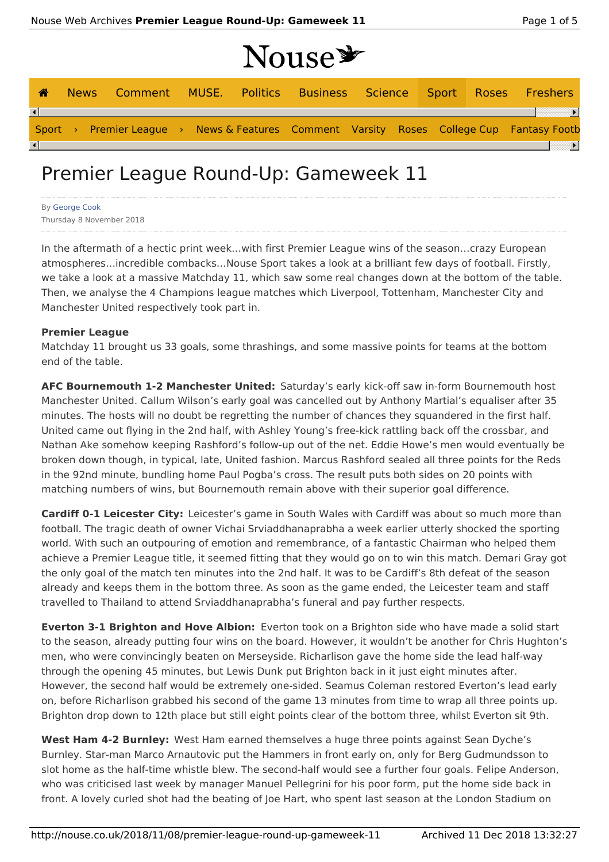| Nouse <sup>y</sup> |  |
|--------------------|--|
|--------------------|--|

| ☎                      | <b>News</b> | Comment |  |  |  |  | MUSE. Politics Business Science Sport Roses Freshers                                     |
|------------------------|-------------|---------|--|--|--|--|------------------------------------------------------------------------------------------|
| $\left  \cdot \right $ |             |         |  |  |  |  |                                                                                          |
|                        |             |         |  |  |  |  | Sport > Premier League > News & Features Comment Varsity Roses College Cup Fantasy Footb |
| $\left  \cdot \right $ |             |         |  |  |  |  |                                                                                          |

# Premier League Round-Up: Gameweek 11

| <b>By George Cook</b>    |  |
|--------------------------|--|
| Thursday 8 November 2018 |  |

In the aftermath of a hectic print week…with first Premier League wins of the season…crazy European atmospheres…incredible combacks…Nouse Sport takes a look at a brilliant few days of football. Firstly, we take a look at a massive Matchday 11, which saw some real changes down at the bottom of the table. Then, we analyse the 4 Champions league matches which Liverpool, Tottenham, Manchester City and Manchester United respectively took part in.

#### **Premier League**

Matchday 11 brought us 33 goals, some thrashings, and some massive points for teams at the bottom end of the table.

**AFC Bournemouth 1-2 Manchester United:** Saturday's early kick-off saw in-form Bournemouth host Manchester United. Callum Wilson's early goal was cancelled out by Anthony Martial's equaliser after 35 minutes. The hosts will no doubt be regretting the number of chances they squandered in the first half. United came out flying in the 2nd half, with Ashley Young's free-kick rattling back off the crossbar, and Nathan Ake somehow keeping Rashford's follow-up out of the net. Eddie Howe's men would eventually be broken down though, in typical, late, United fashion. Marcus Rashford sealed all three points for the Reds in the 92nd minute, bundling home Paul Pogba's cross. The result puts both sides on 20 points with matching numbers of wins, but Bournemouth remain above with their superior goal difference.

**Cardiff 0-1 Leicester City:** Leicester's game in South Wales with Cardiff was about so much more than football. The tragic death of owner Vichai Srviaddhanaprabha a week earlier utterly shocked the sporting world. With such an outpouring of emotion and remembrance, of a fantastic Chairman who helped them achieve a Premier League title, it seemed fitting that they would go on to win this match. Demari Gray got the only goal of the match ten minutes into the 2nd half. It was to be Cardiff's 8th defeat of the season already and keeps them in the bottom three. As soon as the game ended, the Leicester team and staff travelled to Thailand to attend Srviaddhanaprabha's funeral and pay further respects.

**Everton 3-1 Brighton and Hove Albion:** Everton took on a Brighton side who have made a solid start to the season, already putting four wins on the board. However, it wouldn't be another for Chris Hughton's men, who were convincingly beaten on Merseyside. Richarlison gave the home side the lead half-way through the opening 45 minutes, but Lewis Dunk put Brighton back in it just eight minutes after. However, the second half would be extremely one-sided. Seamus Coleman restored Everton's lead early on, before Richarlison grabbed his second of the game 13 minutes from time to wrap all three points up. Brighton drop down to 12th place but still eight points clear of the bottom three, whilst Everton sit 9th.

**West Ham 4-2 Burnley:** West Ham earned themselves a huge three points against Sean Dyche's Burnley. Star-man Marco Arnautovic put the Hammers in front early on, only for Berg Gudmundsson to slot home as the half-time whistle blew. The second-half would see a further four goals. Felipe Anderson, who was criticised last week by manager Manuel Pellegrini for his poor form, put the home side back in front. A lovely curled shot had the beating of Joe Hart, who spent last season at the London Stadium on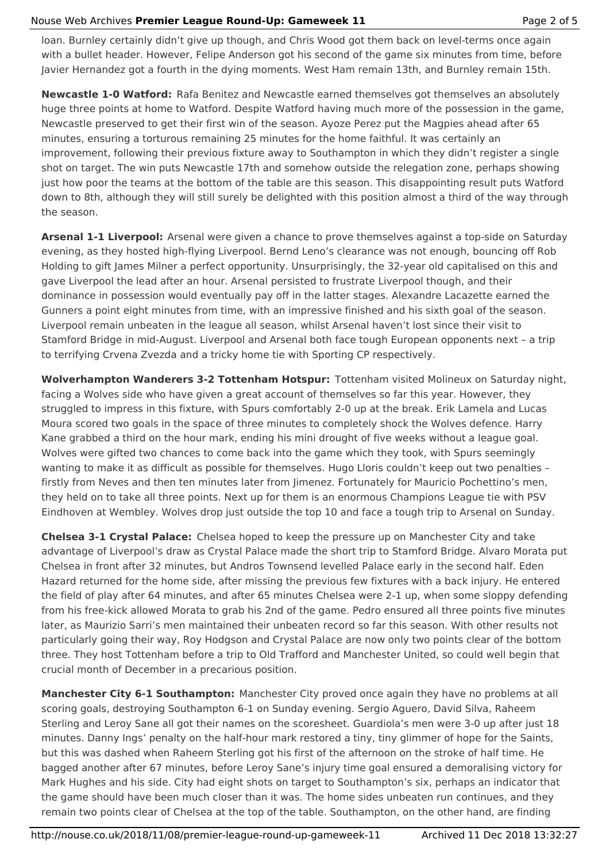### Nouse Web Archives **Premier League Round-Up: Gameweek 11** Page 2 of 5

loan. Burnley certainly didn't give up though, and Chris Wood got them back on level-terms once again with a bullet header. However, Felipe Anderson got his second of the game six minutes from time, before Javier Hernandez got a fourth in the dying moments. West Ham remain 13th, and Burnley remain 15th.

**Newcastle 1-0 Watford:** Rafa Benitez and Newcastle earned themselves got themselves an absolutely huge three points at home to Watford. Despite Watford having much more of the possession in the game, Newcastle preserved to get their first win of the season. Ayoze Perez put the Magpies ahead after 65 minutes, ensuring a torturous remaining 25 minutes for the home faithful. It was certainly an improvement, following their previous fixture away to Southampton in which they didn't register a single shot on target. The win puts Newcastle 17th and somehow outside the relegation zone, perhaps showing just how poor the teams at the bottom of the table are this season. This disappointing result puts Watford down to 8th, although they will still surely be delighted with this position almost a third of the way through the season.

**Arsenal 1-1 Liverpool:** Arsenal were given a chance to prove themselves against a top-side on Saturday evening, as they hosted high-flying Liverpool. Bernd Leno's clearance was not enough, bouncing off Rob Holding to gift James Milner a perfect opportunity. Unsurprisingly, the 32-year old capitalised on this and gave Liverpool the lead after an hour. Arsenal persisted to frustrate Liverpool though, and their dominance in possession would eventually pay off in the latter stages. Alexandre Lacazette earned the Gunners a point eight minutes from time, with an impressive finished and his sixth goal of the season. Liverpool remain unbeaten in the league all season, whilst Arsenal haven't lost since their visit to Stamford Bridge in mid-August. Liverpool and Arsenal both face tough European opponents next – a trip to terrifying Crvena Zvezda and a tricky home tie with Sporting CP respectively.

**Wolverhampton Wanderers 3-2 Tottenham Hotspur:** Tottenham visited Molineux on Saturday night, facing a Wolves side who have given a great account of themselves so far this year. However, they struggled to impress in this fixture, with Spurs comfortably 2-0 up at the break. Erik Lamela and Lucas Moura scored two goals in the space of three minutes to completely shock the Wolves defence. Harry Kane grabbed a third on the hour mark, ending his mini drought of five weeks without a league goal. Wolves were gifted two chances to come back into the game which they took, with Spurs seemingly wanting to make it as difficult as possible for themselves. Hugo Lloris couldn't keep out two penalties – firstly from Neves and then ten minutes later from Jimenez. Fortunately for Mauricio Pochettino's men, they held on to take all three points. Next up for them is an enormous Champions League tie with PSV Eindhoven at Wembley. Wolves drop just outside the top 10 and face a tough trip to Arsenal on Sunday.

**Chelsea 3-1 Crystal Palace:** Chelsea hoped to keep the pressure up on Manchester City and take advantage of Liverpool's draw as Crystal Palace made the short trip to Stamford Bridge. Alvaro Morata put Chelsea in front after 32 minutes, but Andros Townsend levelled Palace early in the second half. Eden Hazard returned for the home side, after missing the previous few fixtures with a back injury. He entered the field of play after 64 minutes, and after 65 minutes Chelsea were 2-1 up, when some sloppy defending from his free-kick allowed Morata to grab his 2nd of the game. Pedro ensured all three points five minutes later, as Maurizio Sarri's men maintained their unbeaten record so far this season. With other results not particularly going their way, Roy Hodgson and Crystal Palace are now only two points clear of the bottom three. They host Tottenham before a trip to Old Trafford and Manchester United, so could well begin that crucial month of December in a precarious position.

**Manchester City 6-1 Southampton:** Manchester City proved once again they have no problems at all scoring goals, destroying Southampton 6-1 on Sunday evening. Sergio Aguero, David Silva, Raheem Sterling and Leroy Sane all got their names on the scoresheet. Guardiola's men were 3-0 up after just 18 minutes. Danny Ings' penalty on the half-hour mark restored a tiny, tiny glimmer of hope for the Saints, but this was dashed when Raheem Sterling got his first of the afternoon on the stroke of half time. He bagged another after 67 minutes, before Leroy Sane's injury time goal ensured a demoralising victory for Mark Hughes and his side. City had eight shots on target to Southampton's six, perhaps an indicator that the game should have been much closer than it was. The home sides unbeaten run continues, and they remain two points clear of Chelsea at the top of the table. Southampton, on the other hand, are finding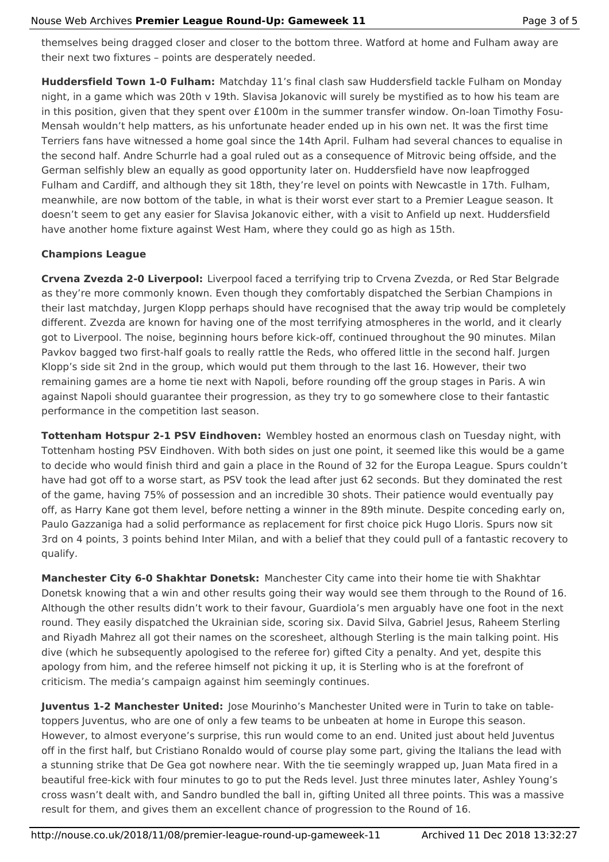themselves being dragged closer and closer to the bottom three. Watford at home and Fulham away are their next two fixtures – points are desperately needed.

**Huddersfield Town 1-0 Fulham:** Matchday 11's final clash saw Huddersfield tackle Fulham on Monday night, in a game which was 20th v 19th. Slavisa Jokanovic will surely be mystified as to how his team are in this position, given that they spent over £100m in the summer transfer window. On-loan Timothy Fosu-Mensah wouldn't help matters, as his unfortunate header ended up in his own net. It was the first time Terriers fans have witnessed a home goal since the 14th April. Fulham had several chances to equalise in the second half. Andre Schurrle had a goal ruled out as a consequence of Mitrovic being offside, and the German selfishly blew an equally as good opportunity later on. Huddersfield have now leapfrogged Fulham and Cardiff, and although they sit 18th, they're level on points with Newcastle in 17th. Fulham, meanwhile, are now bottom of the table, in what is their worst ever start to a Premier League season. It doesn't seem to get any easier for Slavisa Jokanovic either, with a visit to Anfield up next. Huddersfield have another home fixture against West Ham, where they could go as high as 15th.

# **Champions League**

**Crvena Zvezda 2-0 Liverpool:** Liverpool faced a terrifying trip to Crvena Zvezda, or Red Star Belgrade as they're more commonly known. Even though they comfortably dispatched the Serbian Champions in their last matchday, Jurgen Klopp perhaps should have recognised that the away trip would be completely different. Zvezda are known for having one of the most terrifying atmospheres in the world, and it clearly got to Liverpool. The noise, beginning hours before kick-off, continued throughout the 90 minutes. Milan Pavkov bagged two first-half goals to really rattle the Reds, who offered little in the second half. Jurgen Klopp's side sit 2nd in the group, which would put them through to the last 16. However, their two remaining games are a home tie next with Napoli, before rounding off the group stages in Paris. A win against Napoli should guarantee their progression, as they try to go somewhere close to their fantastic performance in the competition last season.

**Tottenham Hotspur 2-1 PSV Eindhoven:** Wembley hosted an enormous clash on Tuesday night, with Tottenham hosting PSV Eindhoven. With both sides on just one point, it seemed like this would be a game to decide who would finish third and gain a place in the Round of 32 for the Europa League. Spurs couldn't have had got off to a worse start, as PSV took the lead after just 62 seconds. But they dominated the rest of the game, having 75% of possession and an incredible 30 shots. Their patience would eventually pay off, as Harry Kane got them level, before netting a winner in the 89th minute. Despite conceding early on, Paulo Gazzaniga had a solid performance as replacement for first choice pick Hugo Lloris. Spurs now sit 3rd on 4 points, 3 points behind Inter Milan, and with a belief that they could pull of a fantastic recovery to qualify.

**Manchester City 6-0 Shakhtar Donetsk:** Manchester City came into their home tie with Shakhtar Donetsk knowing that a win and other results going their way would see them through to the Round of 16. Although the other results didn't work to their favour, Guardiola's men arguably have one foot in the next round. They easily dispatched the Ukrainian side, scoring six. David Silva, Gabriel Jesus, Raheem Sterling and Riyadh Mahrez all got their names on the scoresheet, although Sterling is the main talking point. His dive (which he subsequently apologised to the referee for) gifted City a penalty. And yet, despite this apology from him, and the referee himself not picking it up, it is Sterling who is at the forefront of criticism. The media's campaign against him seemingly continues.

**Juventus 1-2 Manchester United:** Jose Mourinho's Manchester United were in Turin to take on tabletoppers Juventus, who are one of only a few teams to be unbeaten at home in Europe this season. However, to almost everyone's surprise, this run would come to an end. United just about held Juventus off in the first half, but Cristiano Ronaldo would of course play some part, giving the Italians the lead with a stunning strike that De Gea got nowhere near. With the tie seemingly wrapped up, Juan Mata fired in a beautiful free-kick with four minutes to go to put the Reds level. Just three minutes later, Ashley Young's cross wasn't dealt with, and Sandro bundled the ball in, gifting United all three points. This was a massive result for them, and gives them an excellent chance of progression to the Round of 16.